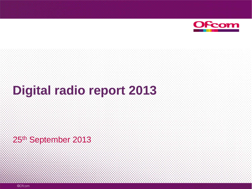

# **Digital radio report 2013**

25<sup>th</sup> September 2013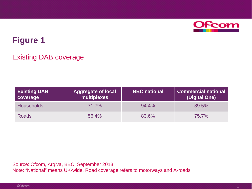

#### Existing DAB coverage

| <b>Existing DAB</b><br>coverage | <b>Aggregate of local</b><br>multiplexes | <b>BBC</b> national | Commercial national<br>(Digital One) |
|---------------------------------|------------------------------------------|---------------------|--------------------------------------|
| <b>Households</b>               | 71.7%                                    | 94.4%               | 89.5%                                |
| <b>Roads</b>                    | 56.4%                                    | 83.6%               | 75.7%                                |

Source: Ofcom, Arqiva, BBC, September 2013 Note: "National" means UK-wide. Road coverage refers to motorways and A-roads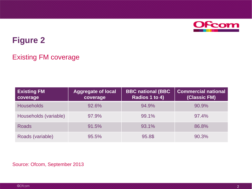

### Existing FM coverage

| <b>Existing FM</b><br>coverage | <b>Aggregate of local</b><br>coverage | <b>BBC national (BBC</b><br>Radios 1 to 4) | <b>Commercial national</b><br>(Classic FM) |
|--------------------------------|---------------------------------------|--------------------------------------------|--------------------------------------------|
| <b>Households</b>              | 92.6%                                 | 94.9%                                      | 90.9%                                      |
| Households (variable)          | 97.9%                                 | 99.1%                                      | 97.4%                                      |
| <b>Roads</b>                   | 91.5%                                 | 93.1%                                      | 86.8%                                      |
| Roads (variable)               | 95.5%                                 | 95.8\$                                     | 90.3%                                      |

#### Source: Ofcom, September 2013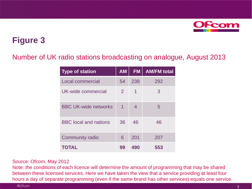

### Number of UK radio stations broadcasting on analogue, August 2013

| <b>Type of station</b>       | <b>AM</b>      | <b>FM</b> | <b>AM/FM total</b> |
|------------------------------|----------------|-----------|--------------------|
| <b>Local commercial</b>      | 54             | 238       | 292                |
| UK-wide commercial           | $\overline{2}$ | 1         | 3                  |
| <b>BBC UK-wide networks</b>  | 1              | 4         | 5                  |
| <b>BBC</b> local and nations | 36             | 46        | 46                 |
| <b>Community radio</b>       | 6              | 201       | 207                |
| <b>TOTAL</b>                 | 99             | 490       | 553                |

#### Source: Ofcom, May 2012

Note: the conditions of each licence will determine the amount of programming that may be shared between these licensed services. Here we have taken the view that a service providing at least four hours a day of separate programming (even if the same brand has other services) equals one service.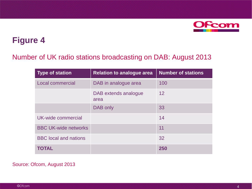

#### Number of UK radio stations broadcasting on DAB: August 2013

| <b>Type of station</b>       | <b>Relation to analogue area</b> | <b>Number of stations</b> |
|------------------------------|----------------------------------|---------------------------|
| Local commercial             | DAB in analogue area             | 100                       |
|                              | DAB extends analogue<br>area     | 12                        |
|                              | DAB only                         | 33                        |
| UK-wide commercial           |                                  | 14                        |
| <b>BBC UK-wide networks</b>  |                                  | 11                        |
| <b>BBC</b> local and nations |                                  | 32                        |
| <b>TOTAL</b>                 |                                  | 250                       |

#### Source: Ofcom, August 2013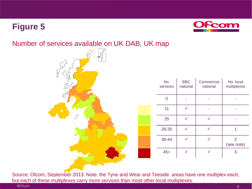

#### Number of services available on UK DAB, UK map



| No.<br>services | <b>BBC</b><br>national | Commercial<br>national | No. local<br>multiplexes |
|-----------------|------------------------|------------------------|--------------------------|
|                 |                        |                        |                          |
| 11              |                        |                        |                          |
| 25              |                        |                        |                          |
| 26-35           |                        |                        |                          |
| 36-44           |                        |                        | 2<br>(see note)          |
| $45+$           |                        |                        | 3                        |

Source: Ofcom, September 2013. Note: the Tyne and Wear and Teeside areas have one multiplex each, but each of these multiplexes carry more services than most other local multiplexes.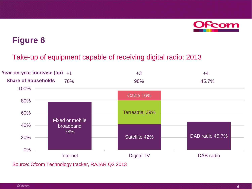

Take-up of equipment capable of receiving digital radio: 2013



Source: Ofcom Technology tracker, RAJAR Q2 2013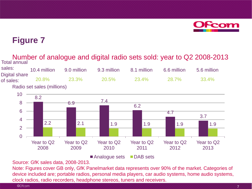

Number of analogue and digital radio sets sold: year to Q2 2008-2013 Total annual

| sales:                     | 10.4 million               | 9.0 million  | 9.3 million  | 8.1 million  | 6.6 million | 5.6 million |
|----------------------------|----------------------------|--------------|--------------|--------------|-------------|-------------|
| Digital share<br>of sales: | 20.8%                      | <b>23.3%</b> | <b>20.5%</b> | <b>23.4%</b> | 28.7%       | 33.4%       |
|                            | Radio set sales (millions) |              |              |              |             |             |



Analogue sets DAB sets

Source: GfK sales data, 2008-2013.

Note: Figures cover GB only, GfK Panelmarket data represents over 90% of the market. Categories of device included are; portable radios, personal media players, car audio systems, home audio systems, clock radios, radio recorders, headphone stereos, tuners and receivers.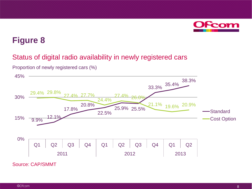

#### Status of digital radio availability in newly registered cars



Proportion of newly registered cars (%)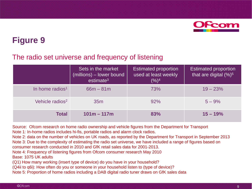

#### The radio set universe and frequency of listening

|                             | Sets in the market<br>(millions) – lower bound<br>estimate <sup>3</sup> | <b>Estimated proportion</b><br>used at least weekly<br>$(%)^4$ | <b>Estimated proportion</b><br>that are digital $(%)^5$ |
|-----------------------------|-------------------------------------------------------------------------|----------------------------------------------------------------|---------------------------------------------------------|
| In home radios <sup>1</sup> | $66m - 81m$                                                             | 73%                                                            | $19 - 23%$                                              |
| Vehicle radios <sup>2</sup> | 35 <sub>m</sub>                                                         | 92%                                                            | $5 - 9%$                                                |
| <b>Total</b>                | $101m - 117m$                                                           | 83%                                                            | $15 - 19%$                                              |

Source: Ofcom research on home radio ownership and vehicle figures from the Department for Transport Note 1: In-home radios includes hi-fis, portable radios and alarm clock radios.

Note 2: data on the number of vehicles on UK roads, as reported by the Department for Transport in September 2013 Note 3: Due to the complexity of estimating the radio set universe, we have included a range of figures based on consumer research conducted in 2010 and GfK retail sales data for 2001-2013.

Note 4: Frequency of listening figures from Ofcom consumer research May 2010

Base: 1075 UK adults

(Q1) How many working (insert type of device) do you have in your household?

(Q4ii to q6i): How often do you or someone in your household listen to (type of device)?

Note 5: Proportion of home radios including a DAB digital radio tuner draws on GfK sales data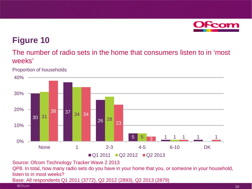

### The number of radio sets in the home that consumers listen to in 'most weeks'

Proportion of households



Source: Ofcom Technology Tracker Wave 2 2013

QP8. In total, how many radio sets do you have in your home that you, or someone in your household, listen to in most weeks?

Base: All respondents Q1 2011 (3772), Q2 2012 (2893), Q2 2013 (2879)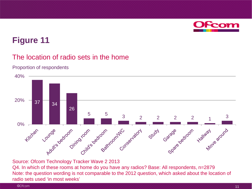

#### The location of radio sets in the home

#### Proportion of respondents



Source: Ofcom Technology Tracker Wave 2 2013

Q4. In which of these rooms at home do you have any radios? Base: All respondents, n=2879 Note: the question wording is not comparable to the 2012 question, which asked about the location of radio sets used 'in most weeks'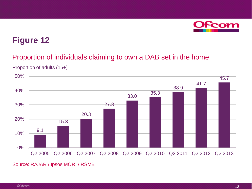

#### Proportion of individuals claiming to own a DAB set in the home





Source: RAJAR / Ipsos MORI / RSMB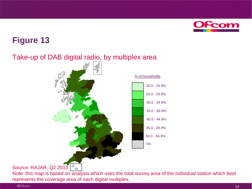

### Take-up of DAB digital radio, by multiplex area



Source: RAJAR, Q2 2013  $\sqrt{\frac{d}{n}}$ 

Note: this map is based on analysis which uses the total survey area of the individual station which best represents the coverage area of each digital multiplex.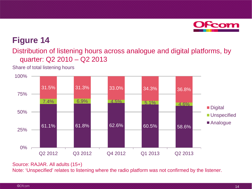

Distribution of listening hours across analogue and digital platforms, by quarter: Q2 2010 – Q2 2013

Share of total listening hours



Source: RAJAR. All adults (15+)

Note: 'Unspecified' relates to listening where the radio platform was not confirmed by the listener.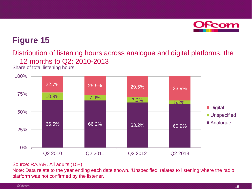

Distribution of listening hours across analogue and digital platforms, the 12 months to Q2: 2010-2013

Share of total listening hours



#### Source: RAJAR. All adults (15+)

Note: Data relate to the year ending each date shown. 'Unspecified' relates to listening where the radio platform was not confirmed by the listener.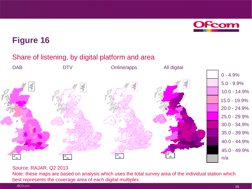

### Share of listening, by digital platform and area



#### Source: RAJAR, Q2 2013

Note: these maps are based on analysis which uses the total survey area of the individual station which best represents the coverage area of each digital multiplex.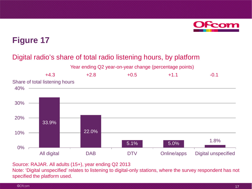

### Digital radio's share of total radio listening hours, by platform





Source: RAJAR. All adults (15+), year ending Q2 2013

Note: 'Digital unspecified' relates to listening to digital-only stations, where the survey respondent has not specified the platform used.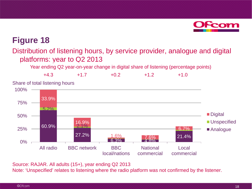

#### Distribution of listening hours, by service provider, analogue and digital platforms: year to Q2 2013

Year ending Q2 year-on-year change in digital share of listening (percentage points)



Source: RAJAR. All adults (15+), year ending Q2 2013

Note: 'Unspecified' relates to listening where the radio platform was not confirmed by the listener.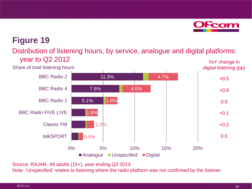

#### Distribution of listening hours, by service, analogue and digital platforms: year to Q2 2012 YoY change in



Source: RAJAR. All adults (15+), year ending Q2 2013

Note: 'Unspecified' relates to listening where the radio platform was not confirmed by the listener.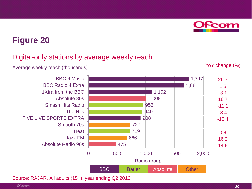#### Digital-only stations by average weekly reach

Average weekly reach (thousands) Not reach (thousands) Not reach  $Y_0$  YoY change (%)



Source: RAJAR. All adults (15+), year ending Q2 2013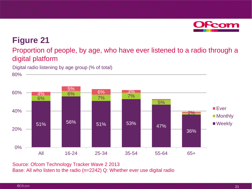

#### Proportion of people, by age, who have ever listened to a radio through a digital platform

Digital radio listening by age group (% of total)

80%



Source: Ofcom Technology Tracker Wave 2 2013 Base: All who listen to the radio (n=2242) Q: Whether ever use digital radio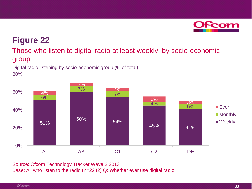

#### Those who listen to digital radio at least weekly, by socio-economic group

Digital radio listening by socio-economic group (% of total)

80%



Source: Ofcom Technology Tracker Wave 2 2013 Base: All who listen to the radio (n=2242) Q: Whether ever use digital radio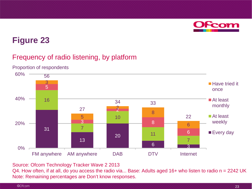

### Frequency of radio listening, by platform



Proportion of respondents

Source: Ofcom Technology Tracker Wave 2 2013

Q4. How often, if at all, do you access the radio via... Base: Adults aged 16+ who listen to radio n = 2242 UK Note: Remaining percentages are Don't know responses.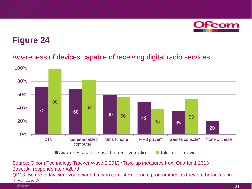

### Awareness of devices capable of receiving digital radio services



Awareness can be used to receive radio  $\blacksquare$  Take-up of device

Source: Ofcom Technology Tracker Wave 2 2013 \*Take-up measures from Quarter 1 2013 Base: All respondents, n=2879 QP13. Before today were you aware that you can listen to radio programmes as they are broadcast in these ways?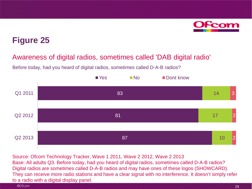

#### Awareness of digital radios, sometimes called 'DAB digital radio'

Before today, had you heard of digital radios, sometimes called D-A-B radios?



Source: Ofcom Technology Tracker, Wave 1 2011, Wave 2 2012, Wave 2 2013 Base: All adults Q3. Before today, had you heard of digital radios, sometimes called D-A-B radios? Digital radios are sometimes called D-A-B radios and may have ones of these logos (SHOWCARD). They can receive more radio stations and have a clear signal with no interference. It doesn't simply refer to a radio with a digital display panel.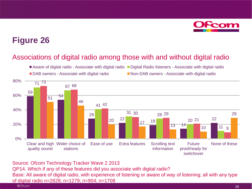

#### Associations of digital radio among those with and without digital radio



Source: Ofcom Technology Tracker Wave 2 2013

QP14. Which if any of these features did you associate with digital radio? Base: All aware of digital radio, with experience of listening or aware of way of listening; all with any type of digital radio n=2628; n=1279; n=904; n=1708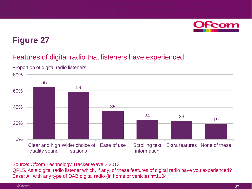

#### Features of digital radio that listeners have experienced



Proportion of digital radio listeners

Source: Ofcom Technology Tracker Wave 2 2013

QP15. As a digital radio listener which, if any, of these features of digital radio have you experienced? Base: All with any type of DAB digital radio (in home or vehicle) n=1104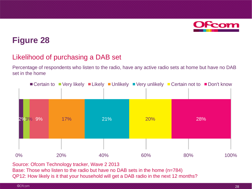

#### Likelihood of purchasing a DAB set

Percentage of respondents who listen to the radio, have any active radio sets at home but have no DAB set in the home



Source: Ofcom Technology tracker, Wave 2 2013 Base: Those who listen to the radio but have no DAB sets in the home (n=784)

QP12: How likely is it that your household will get a DAB radio in the next 12 months?